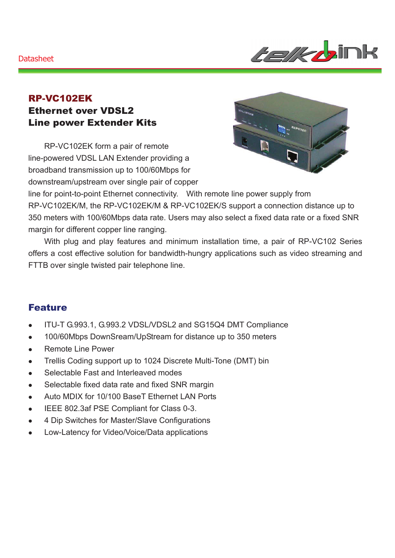#### **Datasheet**



### RP-VC102EK Ethernet over VDSL2 Line power Extender Kits

RP-VC102EK form a pair of remote line-powered VDSL LAN Extender providing a broadband transmission up to 100/60Mbps for downstream/upstream over single pair of copper



line for point-to-point Ethernet connectivity. With remote line power supply from RP-VC102EK/M, the RP-VC102EK/M & RP-VC102EK/S support a connection distance up to 350 meters with 100/60Mbps data rate. Users may also select a fixed data rate or a fixed SNR margin for different copper line ranging.

With plug and play features and minimum installation time, a pair of RP-VC102 Series offers a cost effective solution for bandwidth-hungry applications such as video streaming and FTTB over single twisted pair telephone line.

### Feature

- ITU-T G.993.1, G.993.2 VDSL/VDSL2 and SG15Q4 DMT Compliance
- 100/60Mbps DownSream/UpStream for distance up to 350 meters
- Remote Line Power
- Trellis Coding support up to 1024 Discrete Multi-Tone (DMT) bin
- Selectable Fast and Interleaved modes
- Selectable fixed data rate and fixed SNR margin
- Auto MDIX for 10/100 BaseT Ethernet LAN Ports
- IEEE 802.3af PSE Compliant for Class 0-3.
- 4 Dip Switches for Master/Slave Configurations
- Low-Latency for Video/Voice/Data applications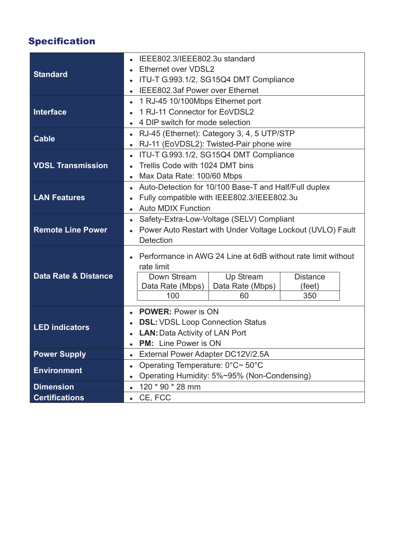# Specification

| Ethernet over VDSL2<br><b>Standard</b><br>ITU-T G.993.1/2, SG15Q4 DMT Compliance<br>$\bullet$<br>IEEE802.3af Power over Ethernet<br>$\bullet$<br>1 RJ-45 10/100Mbps Ethernet port<br>$\bullet$<br><b>Interface</b><br>1 RJ-11 Connector for EoVDSL2<br>4 DIP switch for mode selection<br>RJ-45 (Ethernet): Category 3, 4, 5 UTP/STP<br>$\bullet$<br><b>Cable</b><br>RJ-11 (EoVDSL2): Twisted-Pair phone wire<br>$\bullet$<br>ITU-T G.993.1/2, SG15Q4 DMT Compliance<br>$\bullet$<br><b>VDSL Transmission</b><br>Trellis Code with 1024 DMT bins<br>Max Data Rate: 100/60 Mbps<br>$\bullet$<br>Auto-Detection for 10/100 Base-T and Half/Full duplex<br>$\bullet$<br><b>LAN Features</b><br>Fully compatible with IEEE802.3/IEEE802.3u<br>$\bullet$<br><b>Auto MDIX Function</b><br>Safety-Extra-Low-Voltage (SELV) Compliant<br>$\bullet$<br><b>Remote Line Power</b><br>Power Auto Restart with Under Voltage Lockout (UVLO) Fault<br>$\bullet$<br><b>Detection</b><br>Performance in AWG 24 Line at 6dB without rate limit without<br>rate limit<br><b>Data Rate &amp; Distance</b><br>Up Stream<br>Down Stream<br><b>Distance</b> |
|---------------------------------------------------------------------------------------------------------------------------------------------------------------------------------------------------------------------------------------------------------------------------------------------------------------------------------------------------------------------------------------------------------------------------------------------------------------------------------------------------------------------------------------------------------------------------------------------------------------------------------------------------------------------------------------------------------------------------------------------------------------------------------------------------------------------------------------------------------------------------------------------------------------------------------------------------------------------------------------------------------------------------------------------------------------------------------------------------------------------------------------|
|                                                                                                                                                                                                                                                                                                                                                                                                                                                                                                                                                                                                                                                                                                                                                                                                                                                                                                                                                                                                                                                                                                                                       |
|                                                                                                                                                                                                                                                                                                                                                                                                                                                                                                                                                                                                                                                                                                                                                                                                                                                                                                                                                                                                                                                                                                                                       |
|                                                                                                                                                                                                                                                                                                                                                                                                                                                                                                                                                                                                                                                                                                                                                                                                                                                                                                                                                                                                                                                                                                                                       |
|                                                                                                                                                                                                                                                                                                                                                                                                                                                                                                                                                                                                                                                                                                                                                                                                                                                                                                                                                                                                                                                                                                                                       |
|                                                                                                                                                                                                                                                                                                                                                                                                                                                                                                                                                                                                                                                                                                                                                                                                                                                                                                                                                                                                                                                                                                                                       |
|                                                                                                                                                                                                                                                                                                                                                                                                                                                                                                                                                                                                                                                                                                                                                                                                                                                                                                                                                                                                                                                                                                                                       |
|                                                                                                                                                                                                                                                                                                                                                                                                                                                                                                                                                                                                                                                                                                                                                                                                                                                                                                                                                                                                                                                                                                                                       |
|                                                                                                                                                                                                                                                                                                                                                                                                                                                                                                                                                                                                                                                                                                                                                                                                                                                                                                                                                                                                                                                                                                                                       |
|                                                                                                                                                                                                                                                                                                                                                                                                                                                                                                                                                                                                                                                                                                                                                                                                                                                                                                                                                                                                                                                                                                                                       |
|                                                                                                                                                                                                                                                                                                                                                                                                                                                                                                                                                                                                                                                                                                                                                                                                                                                                                                                                                                                                                                                                                                                                       |
|                                                                                                                                                                                                                                                                                                                                                                                                                                                                                                                                                                                                                                                                                                                                                                                                                                                                                                                                                                                                                                                                                                                                       |
|                                                                                                                                                                                                                                                                                                                                                                                                                                                                                                                                                                                                                                                                                                                                                                                                                                                                                                                                                                                                                                                                                                                                       |
|                                                                                                                                                                                                                                                                                                                                                                                                                                                                                                                                                                                                                                                                                                                                                                                                                                                                                                                                                                                                                                                                                                                                       |
|                                                                                                                                                                                                                                                                                                                                                                                                                                                                                                                                                                                                                                                                                                                                                                                                                                                                                                                                                                                                                                                                                                                                       |
|                                                                                                                                                                                                                                                                                                                                                                                                                                                                                                                                                                                                                                                                                                                                                                                                                                                                                                                                                                                                                                                                                                                                       |
|                                                                                                                                                                                                                                                                                                                                                                                                                                                                                                                                                                                                                                                                                                                                                                                                                                                                                                                                                                                                                                                                                                                                       |
|                                                                                                                                                                                                                                                                                                                                                                                                                                                                                                                                                                                                                                                                                                                                                                                                                                                                                                                                                                                                                                                                                                                                       |
|                                                                                                                                                                                                                                                                                                                                                                                                                                                                                                                                                                                                                                                                                                                                                                                                                                                                                                                                                                                                                                                                                                                                       |
|                                                                                                                                                                                                                                                                                                                                                                                                                                                                                                                                                                                                                                                                                                                                                                                                                                                                                                                                                                                                                                                                                                                                       |
|                                                                                                                                                                                                                                                                                                                                                                                                                                                                                                                                                                                                                                                                                                                                                                                                                                                                                                                                                                                                                                                                                                                                       |
| Data Rate (Mbps)<br>Data Rate (Mbps)<br>(feet)                                                                                                                                                                                                                                                                                                                                                                                                                                                                                                                                                                                                                                                                                                                                                                                                                                                                                                                                                                                                                                                                                        |
| 100<br>350<br>60                                                                                                                                                                                                                                                                                                                                                                                                                                                                                                                                                                                                                                                                                                                                                                                                                                                                                                                                                                                                                                                                                                                      |
| <b>POWER: Power is ON</b><br>$\bullet$                                                                                                                                                                                                                                                                                                                                                                                                                                                                                                                                                                                                                                                                                                                                                                                                                                                                                                                                                                                                                                                                                                |
| <b>DSL: VDSL Loop Connection Status</b><br>$\bullet$                                                                                                                                                                                                                                                                                                                                                                                                                                                                                                                                                                                                                                                                                                                                                                                                                                                                                                                                                                                                                                                                                  |
| <b>LED indicators</b><br><b>LAN: Data Activity of LAN Port</b><br>$\bullet$                                                                                                                                                                                                                                                                                                                                                                                                                                                                                                                                                                                                                                                                                                                                                                                                                                                                                                                                                                                                                                                           |
| <b>PM:</b> Line Power is ON                                                                                                                                                                                                                                                                                                                                                                                                                                                                                                                                                                                                                                                                                                                                                                                                                                                                                                                                                                                                                                                                                                           |
| <b>Power Supply</b><br>External Power Adapter DC12V/2.5A<br>$\bullet$                                                                                                                                                                                                                                                                                                                                                                                                                                                                                                                                                                                                                                                                                                                                                                                                                                                                                                                                                                                                                                                                 |
| Operating Temperature: 0°C~ 50°C<br>$\bullet$                                                                                                                                                                                                                                                                                                                                                                                                                                                                                                                                                                                                                                                                                                                                                                                                                                                                                                                                                                                                                                                                                         |
| <b>Environment</b><br>Operating Humidity: 5%~95% (Non-Condensing)<br>$\bullet$                                                                                                                                                                                                                                                                                                                                                                                                                                                                                                                                                                                                                                                                                                                                                                                                                                                                                                                                                                                                                                                        |
| <b>Dimension</b><br>120 * 90 * 28 mm<br>$\bullet$                                                                                                                                                                                                                                                                                                                                                                                                                                                                                                                                                                                                                                                                                                                                                                                                                                                                                                                                                                                                                                                                                     |
| <b>Certifications</b><br>CE, FCC<br>$\bullet$                                                                                                                                                                                                                                                                                                                                                                                                                                                                                                                                                                                                                                                                                                                                                                                                                                                                                                                                                                                                                                                                                         |